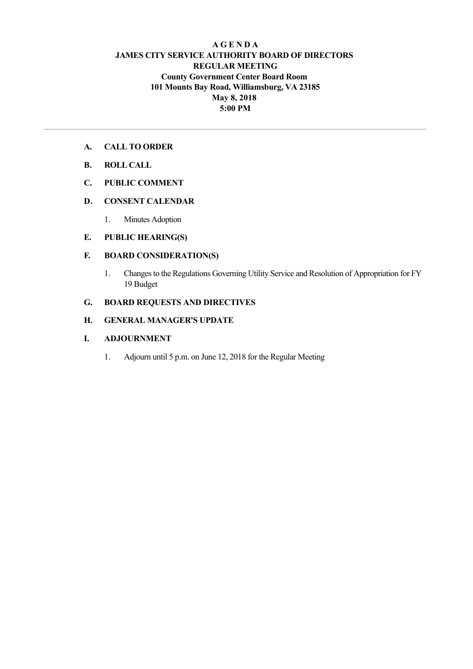## **A G E N D A JAMES CITY SERVICE AUTHORITY BOARD OF DIRECTORS REGULAR MEETING County Government Center Board Room 101 Mounts Bay Road, Williamsburg, VA 23185 May 8, 2018 5:00 PM**

- **A. CALL TO ORDER**
- **B. ROLL CALL**
- **C. PUBLIC COMMENT**

### **D. CONSENT CALENDAR**

1. Minutes Adoption

### **E. PUBLIC HEARING(S)**

## **F. BOARD CONSIDERATION(S)**

1. Changes to the Regulations Governing Utility Service and Resolution of Appropriation for FY 19 Budget

## **G. BOARD REQUESTS AND DIRECTIVES**

## **H. GENERAL MANAGER'S UPDATE**

## **I. ADJOURNMENT**

1. Adjourn until 5 p.m. on June 12, 2018 for the Regular Meeting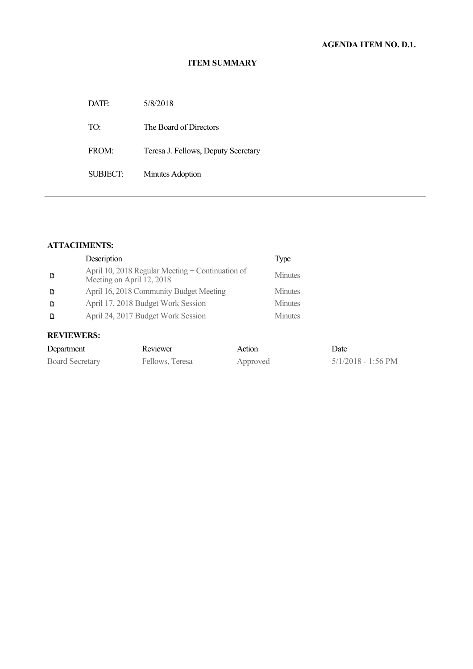### **ITEM SUMMARY**

| DATE:    | 5/8/2018                            |
|----------|-------------------------------------|
| TO:      | The Board of Directors              |
| FROM:    | Teresa J. Fellows, Deputy Secretary |
| SUBJECT: | Minutes Adoption                    |
|          |                                     |

## **ATTACHMENTS:**

|   | Description                                                                     | Type           |
|---|---------------------------------------------------------------------------------|----------------|
| D | April 10, 2018 Regular Meeting + Continuation of<br>Meeting on April $12, 2018$ | <b>Minutes</b> |
| D | April 16, 2018 Community Budget Meeting                                         | <b>Minutes</b> |
| D | April 17, 2018 Budget Work Session                                              | <b>Minutes</b> |
|   | April 24, 2017 Budget Work Session                                              | <b>Minutes</b> |

# **REVIEWERS:**

| Department             | Reviewer        | Action   | Date               |
|------------------------|-----------------|----------|--------------------|
| <b>Board Secretary</b> | Fellows, Teresa | Approved | 5/1/2018 - 1:56 PM |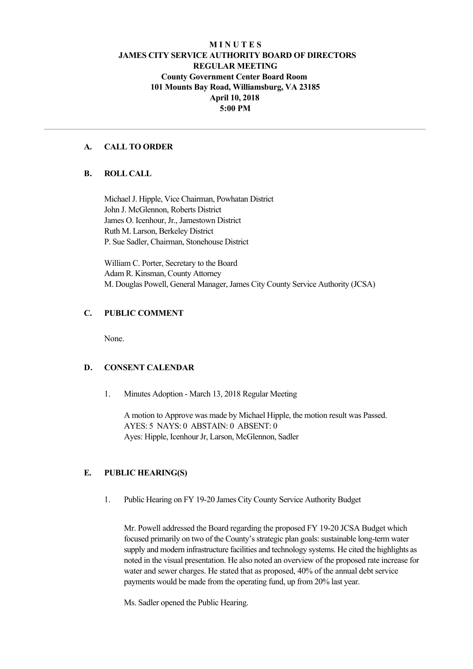## **M I N U T E S JAMES CITY SERVICE AUTHORITY BOARD OF DIRECTORS REGULAR MEETING County Government Center Board Room 101 Mounts Bay Road, Williamsburg, VA 23185 April 10, 2018 5:00 PM**

### **A. CALL TO ORDER**

### **B. ROLL CALL**

Michael J. Hipple, Vice Chairman, Powhatan District John J. McGlennon, Roberts District James O. Icenhour, Jr., Jamestown District Ruth M. Larson, Berkeley District P. Sue Sadler, Chairman, Stonehouse District

William C. Porter, Secretary to the Board Adam R. Kinsman, County Attorney M. Douglas Powell, General Manager, James City County Service Authority (JCSA)

### **C. PUBLIC COMMENT**

None.

#### **D. CONSENT CALENDAR**

1. Minutes Adoption - March 13, 2018 Regular Meeting

A motion to Approve was made by Michael Hipple, the motion result was Passed. AYES: 5 NAYS: 0 ABSTAIN: 0 ABSENT: 0 Ayes: Hipple, Icenhour Jr, Larson, McGlennon, Sadler

### **E. PUBLIC HEARING(S)**

1. Public Hearing on FY 1920 James City County Service Authority Budget

Mr. Powell addressed the Board regarding the proposed FY 1920 JCSA Budget which focused primarily on two of the County's strategic plan goals: sustainable long-term water supply and modern infrastructure facilities and technology systems. He cited the highlights as noted in the visual presentation. He also noted an overview of the proposed rate increase for water and sewer charges. He stated that as proposed, 40% of the annual debt service payments would be made from the operating fund, up from 20% last year.

Ms. Sadler opened the Public Hearing.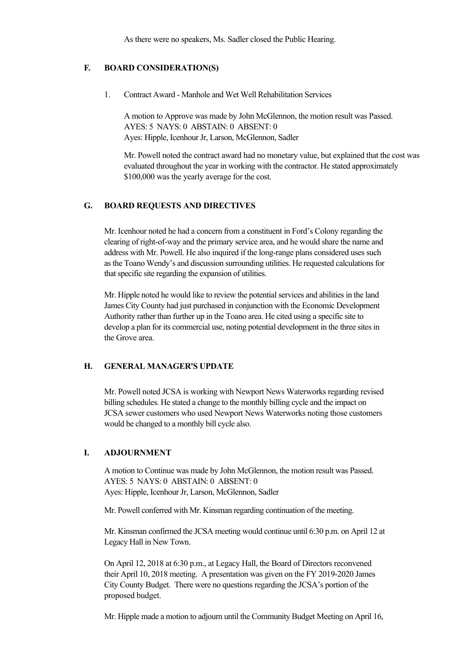As there were no speakers, Ms. Sadler closed the Public Hearing.

### **F. BOARD CONSIDERATION(S)**

1. Contract Award - Manhole and Wet Well Rehabilitation Services

A motion to Approve was made by John McGlennon, the motion result was Passed. AYES: 5 NAYS: 0 ABSTAIN: 0 ABSENT: 0 Ayes: Hipple, Icenhour Jr, Larson, McGlennon, Sadler

Mr. Powell noted the contract award had no monetary value, but explained that the cost was evaluated throughout the year in working with the contractor. He stated approximately \$100,000 was the yearly average for the cost.

### **G. BOARD REQUESTS AND DIRECTIVES**

Mr. Icenhour noted he had a concern from a constituent in Ford's Colony regarding the clearing of right-of-way and the primary service area, and he would share the name and address with Mr. Powell. He also inquired if the long-range plans considered uses such as the Toano Wendy's and discussion surrounding utilities. He requested calculations for that specific site regarding the expansion of utilities.

Mr. Hipple noted he would like to review the potential services and abilities in the land James City County had just purchased in conjunction with the Economic Development Authority rather than further up in the Toano area. He cited using a specific site to develop a plan for its commercial use, noting potential development in the three sites in the Grove area.

#### **H. GENERAL MANAGER'S UPDATE**

Mr. Powell noted JCSA is working with Newport News Waterworks regarding revised billing schedules. He stated a change to the monthly billing cycle and the impact on JCSA sewer customers who used Newport News Waterworks noting those customers would be changed to a monthly bill cycle also.

### **I. ADJOURNMENT**

A motion to Continue was made by John McGlennon, the motion result was Passed. AYES: 5 NAYS: 0 ABSTAIN: 0 ABSENT: 0 Ayes: Hipple, Icenhour Jr, Larson, McGlennon, Sadler

Mr. Powell conferred with Mr. Kinsman regarding continuation of the meeting.

Mr. Kinsman confirmed the JCSA meeting would continue until 6:30 p.m. on April 12 at Legacy Hall in New Town.

On April 12, 2018 at 6:30 p.m., at Legacy Hall, the Board of Directors reconvened their April 10, 2018 meeting. A presentation was given on the FY 2019-2020 James City County Budget. There were no questions regarding the JCSA's portion of the proposed budget.

Mr. Hipple made a motion to adjourn until the Community Budget Meeting on April 16,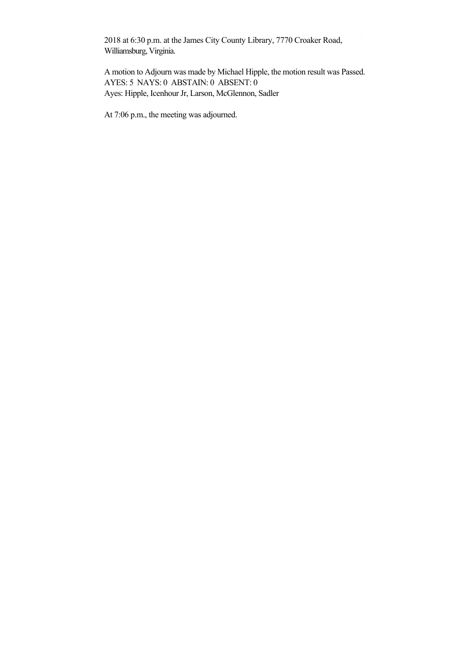2018 at 6:30 p.m. at the James City County Library, 7770 Croaker Road, Williamsburg, Virginia.

A motion to Adjourn was made by Michael Hipple, the motion result was Passed. AYES: 5 NAYS: 0 ABSTAIN: 0 ABSENT: 0 Ayes: Hipple, Icenhour Jr, Larson, McGlennon, Sadler

Mr. Hipple made a motion to adjourn until the Community Budget Meeting on April 16,

At 7:06 p.m., the meeting was adjourned.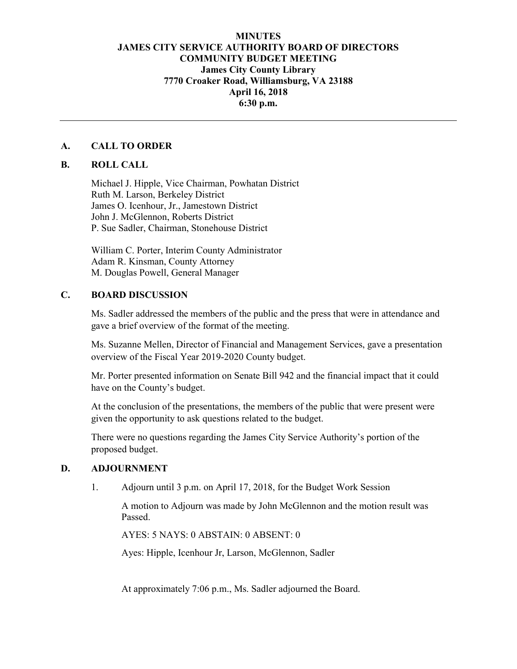## **MINUTES JAMES CITY SERVICE AUTHORITY BOARD OF DIRECTORS COMMUNITY BUDGET MEETING James City County Library 7770 Croaker Road, Williamsburg, VA 23188 April 16, 2018 6:30 p.m.**

### **A. CALL TO ORDER**

## **B. ROLL CALL**

Michael J. Hipple, Vice Chairman, Powhatan District Ruth M. Larson, Berkeley District James O. Icenhour, Jr., Jamestown District John J. McGlennon, Roberts District P. Sue Sadler, Chairman, Stonehouse District

 William C. Porter, Interim County Administrator Adam R. Kinsman, County Attorney M. Douglas Powell, General Manager

## **C. BOARD DISCUSSION**

Ms. Sadler addressed the members of the public and the press that were in attendance and gave a brief overview of the format of the meeting.

 Ms. Suzanne Mellen, Director of Financial and Management Services, gave a presentation overview of the Fiscal Year 2019-2020 County budget.

 Mr. Porter presented information on Senate Bill 942 and the financial impact that it could have on the County's budget.

 At the conclusion of the presentations, the members of the public that were present were given the opportunity to ask questions related to the budget.

There were no questions regarding the James City Service Authority's portion of the proposed budget.

### **D. ADJOURNMENT**

1. Adjourn until 3 p.m. on April 17, 2018, for the Budget Work Session

 A motion to Adjourn was made by John McGlennon and the motion result was Passed.

AYES: 5 NAYS: 0 ABSTAIN: 0 ABSENT: 0

Ayes: Hipple, Icenhour Jr, Larson, McGlennon, Sadler

At approximately 7:06 p.m., Ms. Sadler adjourned the Board.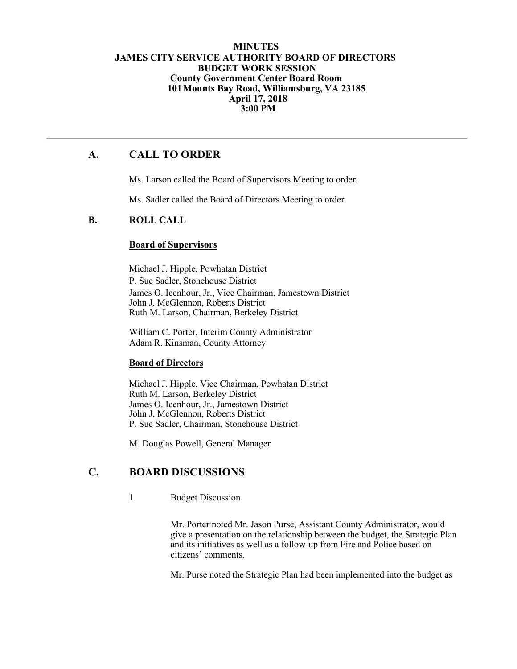### **MINUTES JAMES CITY SERVICE AUTHORITY BOARD OF DIRECTORS BUDGET WORK SESSION County Government Center Board Room 101Mounts Bay Road, Williamsburg, VA 23185 April 17, 2018 3:00 PM**

# **A. CALL TO ORDER**

Ms. Larson called the Board of Supervisors Meeting to order.

Ms. Sadler called the Board of Directors Meeting to order.

### **B. ROLL CALL**

### **Board of Supervisors**

Michael J. Hipple, Powhatan District P. Sue Sadler, Stonehouse District James O. Icenhour, Jr., Vice Chairman, Jamestown District John J. McGlennon, Roberts District Ruth M. Larson, Chairman, Berkeley District

William C. Porter, Interim County Administrator Adam R. Kinsman, County Attorney

#### **Board of Directors**

Michael J. Hipple, Vice Chairman, Powhatan District Ruth M. Larson, Berkeley District James O. Icenhour, Jr., Jamestown District John J. McGlennon, Roberts District P. Sue Sadler, Chairman, Stonehouse District

M. Douglas Powell, General Manager

# **C. BOARD DISCUSSIONS**

1. Budget Discussion

Mr. Porter noted Mr. Jason Purse, Assistant County Administrator, would give a presentation on the relationship between the budget, the Strategic Plan and its initiatives as well as a follow-up from Fire and Police based on citizens' comments.

Mr. Purse noted the Strategic Plan had been implemented into the budget as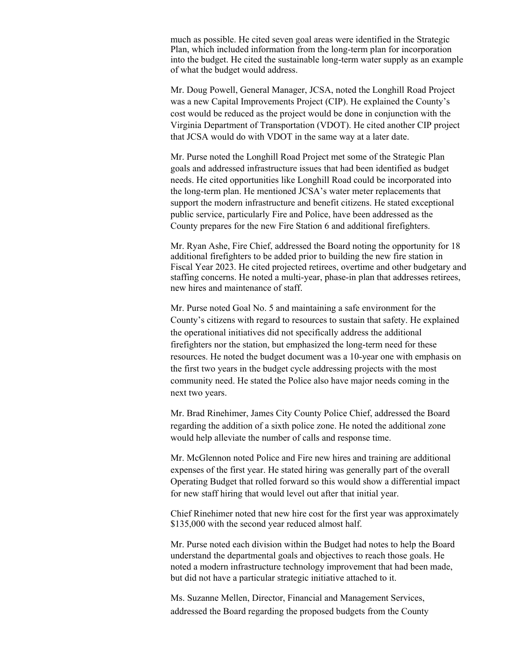much as possible. He cited seven goal areas were identified in the Strategic Plan, which included information from the long-term plan for incorporation into the budget. He cited the sustainable long-term water supply as an example of what the budget would address.

Mr. Doug Powell, General Manager, JCSA, noted the Longhill Road Project was a new Capital Improvements Project (CIP). He explained the County's cost would be reduced as the project would be done in conjunction with the Virginia Department of Transportation (VDOT). He cited another CIP project that JCSA would do with VDOT in the same way at a later date.

Mr. Purse noted the Longhill Road Project met some of the Strategic Plan goals and addressed infrastructure issues that had been identified as budget needs. He cited opportunities like Longhill Road could be incorporated into the long-term plan. He mentioned JCSA's water meter replacements that support the modern infrastructure and benefit citizens. He stated exceptional public service, particularly Fire and Police, have been addressed as the County prepares for the new Fire Station 6 and additional firefighters.

Mr. Ryan Ashe, Fire Chief, addressed the Board noting the opportunity for 18 additional firefighters to be added prior to building the new fire station in Fiscal Year 2023. He cited projected retirees, overtime and other budgetary and staffing concerns. He noted a multi-year, phase-in plan that addresses retirees, new hires and maintenance of staff.

Mr. Purse noted Goal No. 5 and maintaining a safe environment for the County's citizens with regard to resources to sustain that safety. He explained the operational initiatives did not specifically address the additional firefighters nor the station, but emphasized the long-term need for these resources. He noted the budget document was a 10-year one with emphasis on the first two years in the budget cycle addressing projects with the most community need. He stated the Police also have major needs coming in the next two years.

Mr. Brad Rinehimer, James City County Police Chief, addressed the Board regarding the addition of a sixth police zone. He noted the additional zone would help alleviate the number of calls and response time.

Mr. McGlennon noted Police and Fire new hires and training are additional expenses of the first year. He stated hiring was generally part of the overall Operating Budget that rolled forward so this would show a differential impact for new staff hiring that would level out after that initial year.

Chief Rinehimer noted that new hire cost for the first year was approximately \$135,000 with the second year reduced almost half.

Mr. Purse noted each division within the Budget had notes to help the Board understand the departmental goals and objectives to reach those goals. He noted a modern infrastructure technology improvement that had been made, but did not have a particular strategic initiative attached to it.

Ms. Suzanne Mellen, Director, Financial and Management Services, addressed the Board regarding the proposed budgets from the County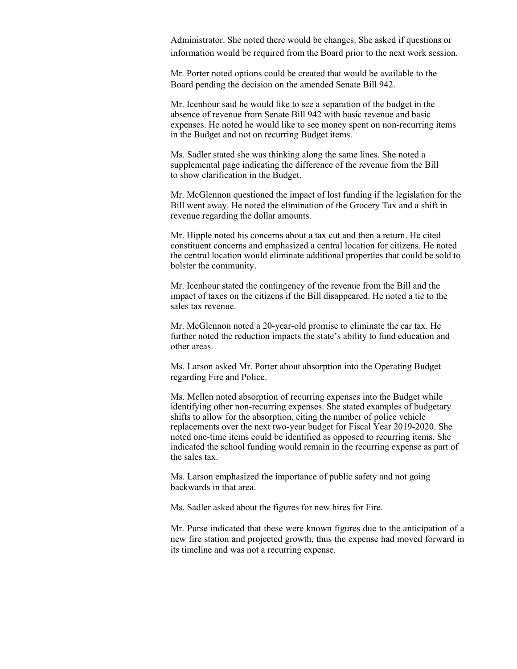Administrator. She noted there would be changes. She asked if questions or information would be required from the Board prior to the next work session.

Mr. Porter noted options could be created that would be available to the Board pending the decision on the amended Senate Bill 942.

Mr. Icenhour said he would like to see a separation of the budget in the absence of revenue from Senate Bill 942 with basic revenue and basic expenses. He noted he would like to see money spent on non-recurring items in the Budget and not on recurring Budget items.

Ms. Sadler stated she was thinking along the same lines. She noted a supplemental page indicating the difference of the revenue from the Bill to show clarification in the Budget.

Mr. McGlennon questioned the impact of lost funding if the legislation for the Bill went away. He noted the elimination of the Grocery Tax and a shift in revenue regarding the dollar amounts.

Mr. Hipple noted his concerns about a tax cut and then a return. He cited constituent concerns and emphasized a central location for citizens. He noted the central location would eliminate additional properties that could be sold to bolster the community.

Mr. Icenhour stated the contingency of the revenue from the Bill and the impact of taxes on the citizens if the Bill disappeared. He noted a tie to the sales tax revenue.

Mr. McGlennon noted a 20-year-old promise to eliminate the car tax. He further noted the reduction impacts the state's ability to fund education and other areas.

Ms. Larson asked Mr. Porter about absorption into the Operating Budget regarding Fire and Police.

Ms. Mellen noted absorption of recurring expenses into the Budget while identifying other non-recurring expenses. She stated examples of budgetary shifts to allow for the absorption, citing the number of police vehicle replacements over the next two-year budget for Fiscal Year 2019-2020. She noted one-time items could be identified as opposed to recurring items. She indicated the school funding would remain in the recurring expense as part of the sales tax.

Ms. Larson emphasized the importance of public safety and not going backwards in that area.

Ms. Sadler asked about the figures for new hires for Fire.

Mr. Purse indicated that these were known figures due to the anticipation of a new fire station and projected growth, thus the expense had moved forward in its timeline and was not a recurring expense.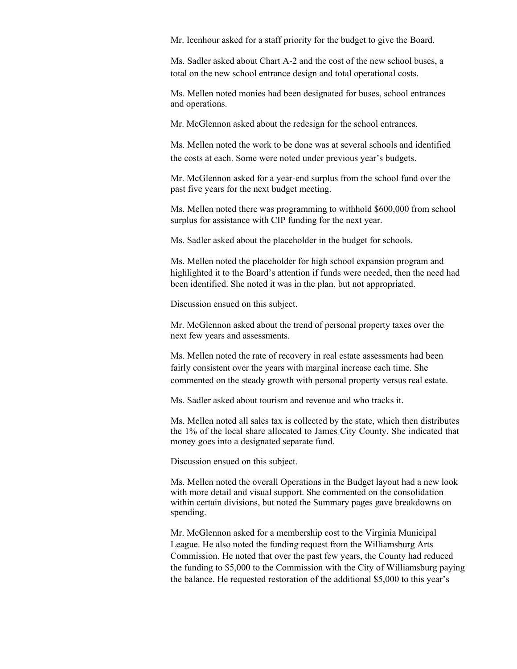Mr. Icenhour asked for a staff priority for the budget to give the Board.

Ms. Sadler asked about Chart A-2 and the cost of the new school buses, a total on the new school entrance design and total operational costs.

Ms. Mellen noted monies had been designated for buses, school entrances and operations.

Mr. McGlennon asked about the redesign for the school entrances.

Ms. Mellen noted the work to be done was at several schools and identified the costs at each. Some were noted under previous year's budgets.

Mr. McGlennon asked for a year-end surplus from the school fund over the past five years for the next budget meeting.

Ms. Mellen noted there was programming to withhold \$600,000 from school surplus for assistance with CIP funding for the next year.

Ms. Sadler asked about the placeholder in the budget for schools.

Ms. Mellen noted the placeholder for high school expansion program and highlighted it to the Board's attention if funds were needed, then the need had been identified. She noted it was in the plan, but not appropriated.

Discussion ensued on this subject.

Mr. McGlennon asked about the trend of personal property taxes over the next few years and assessments.

Ms. Mellen noted the rate of recovery in real estate assessments had been fairly consistent over the years with marginal increase each time. She commented on the steady growth with personal property versus real estate.

Ms. Sadler asked about tourism and revenue and who tracks it.

Ms. Mellen noted all sales tax is collected by the state, which then distributes the 1% of the local share allocated to James City County. She indicated that money goes into a designated separate fund.

Discussion ensued on this subject.

Ms. Mellen noted the overall Operations in the Budget layout had a new look with more detail and visual support. She commented on the consolidation within certain divisions, but noted the Summary pages gave breakdowns on spending.

Mr. McGlennon asked for a membership cost to the Virginia Municipal League. He also noted the funding request from the Williamsburg Arts Commission. He noted that over the past few years, the County had reduced the funding to \$5,000 to the Commission with the City of Williamsburg paying the balance. He requested restoration of the additional \$5,000 to this year's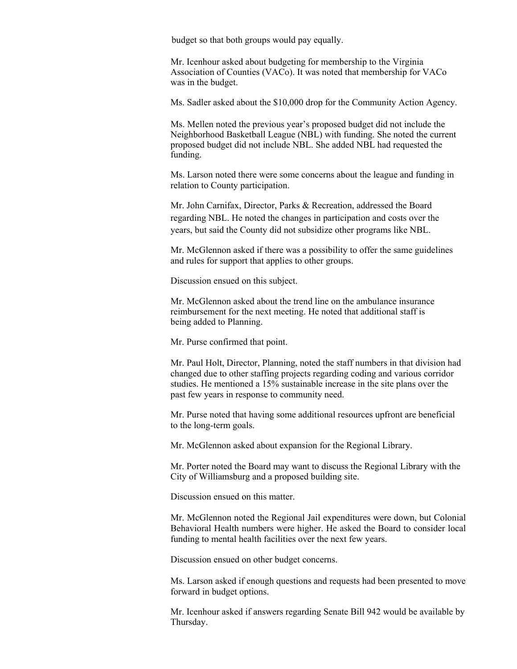budget so that both groups would pay equally.

Mr. Icenhour asked about budgeting for membership to the Virginia Association of Counties (VACo). It was noted that membership for VACo was in the budget.

Ms. Sadler asked about the \$10,000 drop for the Community Action Agency.

Ms. Mellen noted the previous year's proposed budget did not include the Neighborhood Basketball League (NBL) with funding. She noted the current proposed budget did not include NBL. She added NBL had requested the funding.

Ms. Larson noted there were some concerns about the league and funding in relation to County participation.

Mr. John Carnifax, Director, Parks & Recreation, addressed the Board regarding NBL. He noted the changes in participation and costs over the years, but said the County did not subsidize other programs like NBL.

Mr. McGlennon asked if there was a possibility to offer the same guidelines and rules for support that applies to other groups.

Discussion ensued on this subject.

Mr. McGlennon asked about the trend line on the ambulance insurance reimbursement for the next meeting. He noted that additional staff is being added to Planning.

Mr. Purse confirmed that point.

Mr. Paul Holt, Director, Planning, noted the staff numbers in that division had changed due to other staffing projects regarding coding and various corridor studies. He mentioned a 15% sustainable increase in the site plans over the past few years in response to community need.

Mr. Purse noted that having some additional resources upfront are beneficial to the long-term goals.

Mr. McGlennon asked about expansion for the Regional Library.

Mr. Porter noted the Board may want to discuss the Regional Library with the City of Williamsburg and a proposed building site.

Discussion ensued on this matter.

Mr. McGlennon noted the Regional Jail expenditures were down, but Colonial Behavioral Health numbers were higher. He asked the Board to consider local funding to mental health facilities over the next few years.

Discussion ensued on other budget concerns.

Ms. Larson asked if enough questions and requests had been presented to move forward in budget options.

Mr. Icenhour asked if answers regarding Senate Bill 942 would be available by Thursday.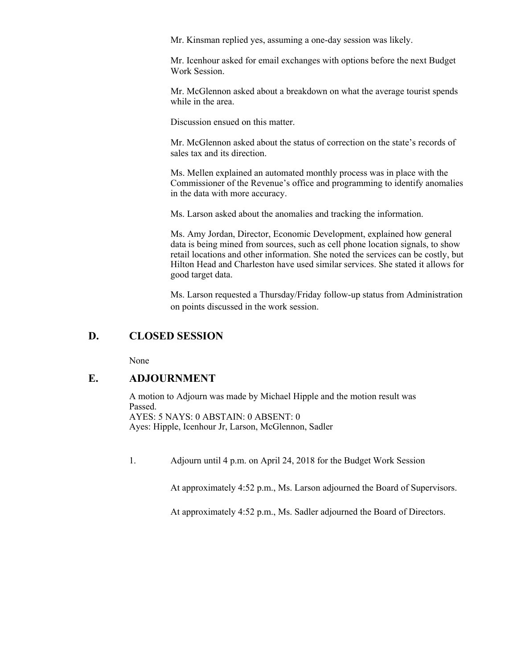Mr. Kinsman replied yes, assuming a one-day session was likely.

Mr. Icenhour asked for email exchanges with options before the next Budget Work Session.

Mr. McGlennon asked about a breakdown on what the average tourist spends while in the area.

Discussion ensued on this matter.

Mr. McGlennon asked about the status of correction on the state's records of sales tax and its direction.

Ms. Mellen explained an automated monthly process was in place with the Commissioner of the Revenue's office and programming to identify anomalies in the data with more accuracy.

Ms. Larson asked about the anomalies and tracking the information.

Ms. Amy Jordan, Director, Economic Development, explained how general data is being mined from sources, such as cell phone location signals, to show retail locations and other information. She noted the services can be costly, but Hilton Head and Charleston have used similar services. She stated it allows for good target data.

Ms. Larson requested a Thursday/Friday follow-up status from Administration on points discussed in the work session.

## **D. CLOSED SESSION**

None

## **E. ADJOURNMENT**

A motion to Adjourn was made by Michael Hipple and the motion result was Passed. AYES: 5 NAYS: 0 ABSTAIN: 0 ABSENT: 0 Ayes: Hipple, Icenhour Jr, Larson, McGlennon, Sadler

1. Adjourn until 4 p.m. on April 24, 2018 for the Budget Work Session

At approximately 4:52 p.m., Ms. Larson adjourned the Board of Supervisors.

At approximately 4:52 p.m., Ms. Sadler adjourned the Board of Directors.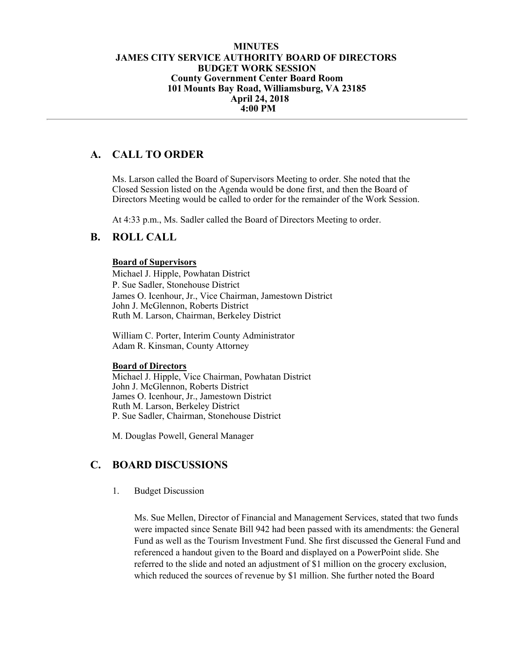### **MINUTES JAMES CITY SERVICE AUTHORITY BOARD OF DIRECTORS BUDGET WORK SESSION County Government Center Board Room 101 Mounts Bay Road, Williamsburg, VA 23185 April 24, 2018 4:00 PM**

# **A. CALL TO ORDER**

Ms. Larson called the Board of Supervisors Meeting to order. She noted that the Closed Session listed on the Agenda would be done first, and then the Board of Directors Meeting would be called to order for the remainder of the Work Session.

At 4:33 p.m., Ms. Sadler called the Board of Directors Meeting to order.

## **B. ROLL CALL**

### **Board of Supervisors**

Michael J. Hipple, Powhatan District P. Sue Sadler, Stonehouse District James O. Icenhour, Jr., Vice Chairman, Jamestown District John J. McGlennon, Roberts District Ruth M. Larson, Chairman, Berkeley District

William C. Porter, Interim County Administrator Adam R. Kinsman, County Attorney

#### **Board of Directors**

Michael J. Hipple, Vice Chairman, Powhatan District John J. McGlennon, Roberts District James O. Icenhour, Jr., Jamestown District Ruth M. Larson, Berkeley District P. Sue Sadler, Chairman, Stonehouse District

M. Douglas Powell, General Manager

## **C. BOARD DISCUSSIONS**

1. Budget Discussion

Ms. Sue Mellen, Director of Financial and Management Services, stated that two funds were impacted since Senate Bill 942 had been passed with its amendments: the General Fund as well as the Tourism Investment Fund. She first discussed the General Fund and referenced a handout given to the Board and displayed on a PowerPoint slide. She referred to the slide and noted an adjustment of \$1 million on the grocery exclusion, which reduced the sources of revenue by \$1 million. She further noted the Board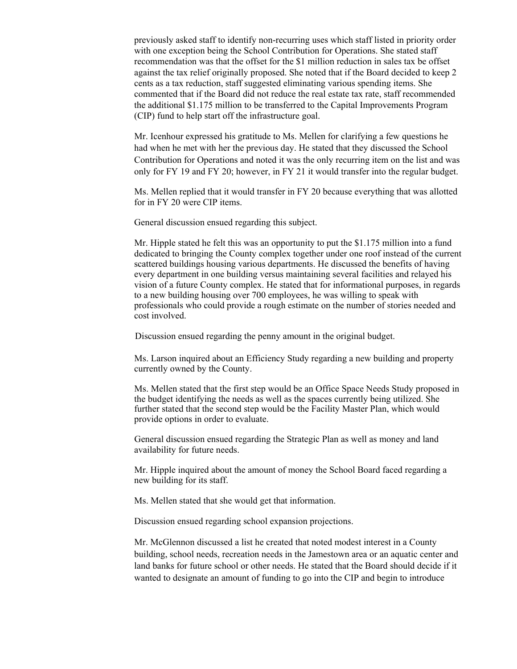previously asked staff to identify non-recurring uses which staff listed in priority order with one exception being the School Contribution for Operations. She stated staff recommendation was that the offset for the \$1 million reduction in sales tax be offset against the tax relief originally proposed. She noted that if the Board decided to keep 2 cents as a tax reduction, staff suggested eliminating various spending items. She commented that if the Board did not reduce the real estate tax rate, staff recommended the additional \$1.175 million to be transferred to the Capital Improvements Program (CIP) fund to help start off the infrastructure goal.

Mr. Icenhour expressed his gratitude to Ms. Mellen for clarifying a few questions he had when he met with her the previous day. He stated that they discussed the School Contribution for Operations and noted it was the only recurring item on the list and was only for FY 19 and FY 20; however, in FY 21 it would transfer into the regular budget.

Ms. Mellen replied that it would transfer in FY 20 because everything that was allotted for in FY 20 were CIP items.

General discussion ensued regarding this subject.

Mr. Hipple stated he felt this was an opportunity to put the \$1.175 million into a fund dedicated to bringing the County complex together under one roof instead of the current scattered buildings housing various departments. He discussed the benefits of having every department in one building versus maintaining several facilities and relayed his vision of a future County complex. He stated that for informational purposes, in regards to a new building housing over 700 employees, he was willing to speak with professionals who could provide a rough estimate on the number of stories needed and cost involved.

Discussion ensued regarding the penny amount in the original budget.

Ms. Larson inquired about an Efficiency Study regarding a new building and property currently owned by the County.

Ms. Mellen stated that the first step would be an Office Space Needs Study proposed in the budget identifying the needs as well as the spaces currently being utilized. She further stated that the second step would be the Facility Master Plan, which would provide options in order to evaluate.

General discussion ensued regarding the Strategic Plan as well as money and land availability for future needs.

Mr. Hipple inquired about the amount of money the School Board faced regarding a new building for its staff.

Ms. Mellen stated that she would get that information.

Discussion ensued regarding school expansion projections.

Mr. McGlennon discussed a list he created that noted modest interest in a County building, school needs, recreation needs in the Jamestown area or an aquatic center and land banks for future school or other needs. He stated that the Board should decide if it wanted to designate an amount of funding to go into the CIP and begin to introduce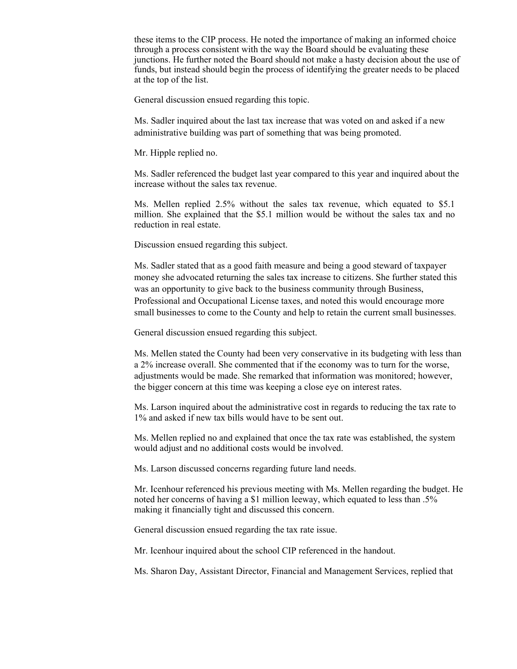these items to the CIP process. He noted the importance of making an informed choice through a process consistent with the way the Board should be evaluating these junctions. He further noted the Board should not make a hasty decision about the use of funds, but instead should begin the process of identifying the greater needs to be placed at the top of the list.

General discussion ensued regarding this topic.

Ms. Sadler inquired about the last tax increase that was voted on and asked if a new administrative building was part of something that was being promoted.

Mr. Hipple replied no.

Ms. Sadler referenced the budget last year compared to this year and inquired about the increase without the sales tax revenue.

Ms. Mellen replied 2.5% without the sales tax revenue, which equated to \$5.1 million. She explained that the \$5.1 million would be without the sales tax and no reduction in real estate.

Discussion ensued regarding this subject.

Ms. Sadler stated that as a good faith measure and being a good steward of taxpayer money she advocated returning the sales tax increase to citizens. She further stated this was an opportunity to give back to the business community through Business, Professional and Occupational License taxes, and noted this would encourage more small businesses to come to the County and help to retain the current small businesses.

General discussion ensued regarding this subject.

Ms. Mellen stated the County had been very conservative in its budgeting with less than a 2% increase overall. She commented that if the economy was to turn for the worse, adjustments would be made. She remarked that information was monitored; however, the bigger concern at this time was keeping a close eye on interest rates.

Ms. Larson inquired about the administrative cost in regards to reducing the tax rate to 1% and asked if new tax bills would have to be sent out.

Ms. Mellen replied no and explained that once the tax rate was established, the system would adjust and no additional costs would be involved.

Ms. Larson discussed concerns regarding future land needs.

Mr. Icenhour referenced his previous meeting with Ms. Mellen regarding the budget. He noted her concerns of having a \$1 million leeway, which equated to less than .5% making it financially tight and discussed this concern.

General discussion ensued regarding the tax rate issue.

Mr. Icenhour inquired about the school CIP referenced in the handout.

Ms. Sharon Day, Assistant Director, Financial and Management Services, replied that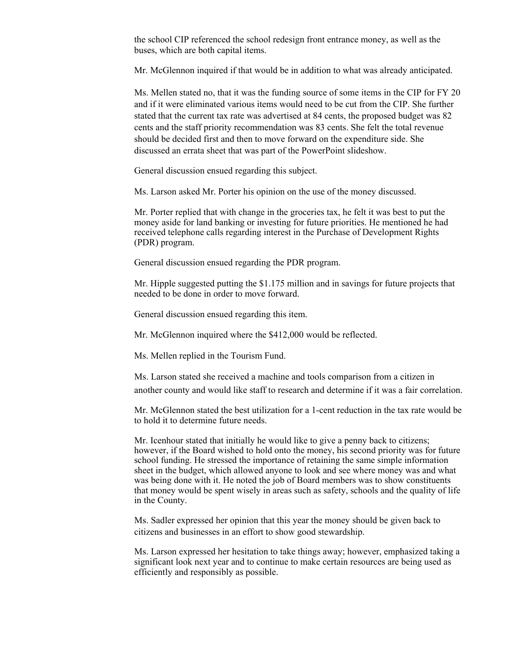the school CIP referenced the school redesign front entrance money, as well as the buses, which are both capital items.

Mr. McGlennon inquired if that would be in addition to what was already anticipated.

Ms. Mellen stated no, that it was the funding source of some items in the CIP for FY 20 and if it were eliminated various items would need to be cut from the CIP. She further stated that the current tax rate was advertised at 84 cents, the proposed budget was 82 cents and the staff priority recommendation was 83 cents. She felt the total revenue should be decided first and then to move forward on the expenditure side. She discussed an errata sheet that was part of the PowerPoint slideshow.

General discussion ensued regarding this subject.

Ms. Larson asked Mr. Porter his opinion on the use of the money discussed.

Mr. Porter replied that with change in the groceries tax, he felt it was best to put the money aside for land banking or investing for future priorities. He mentioned he had received telephone calls regarding interest in the Purchase of Development Rights (PDR) program.

General discussion ensued regarding the PDR program.

Mr. Hipple suggested putting the \$1.175 million and in savings for future projects that needed to be done in order to move forward.

General discussion ensued regarding this item.

Mr. McGlennon inquired where the \$412,000 would be reflected.

Ms. Mellen replied in the Tourism Fund.

Ms. Larson stated she received a machine and tools comparison from a citizen in another county and would like staff to research and determine if it was a fair correlation.

Mr. McGlennon stated the best utilization for a 1-cent reduction in the tax rate would be to hold it to determine future needs.

Mr. Icenhour stated that initially he would like to give a penny back to citizens; however, if the Board wished to hold onto the money, his second priority was for future school funding. He stressed the importance of retaining the same simple information sheet in the budget, which allowed anyone to look and see where money was and what was being done with it. He noted the job of Board members was to show constituents that money would be spent wisely in areas such as safety, schools and the quality of life in the County.

Ms. Sadler expressed her opinion that this year the money should be given back to citizens and businesses in an effort to show good stewardship.

Ms. Larson expressed her hesitation to take things away; however, emphasized taking a significant look next year and to continue to make certain resources are being used as efficiently and responsibly as possible.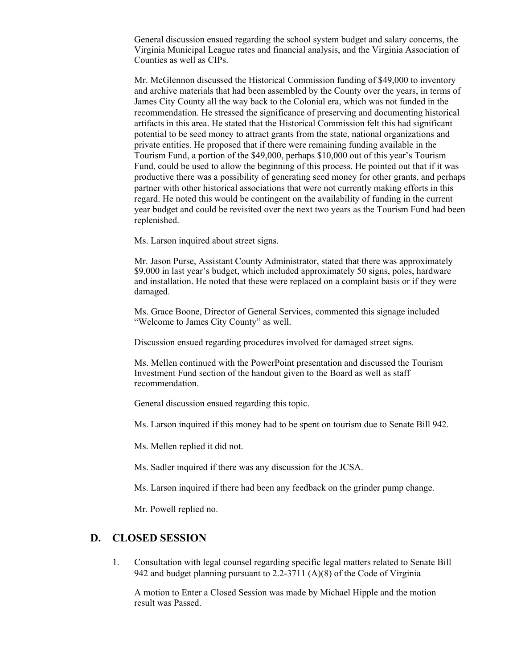General discussion ensued regarding the school system budget and salary concerns, the Virginia Municipal League rates and financial analysis, and the Virginia Association of Counties as well as CIPs.

Mr. McGlennon discussed the Historical Commission funding of \$49,000 to inventory and archive materials that had been assembled by the County over the years, in terms of James City County all the way back to the Colonial era, which was not funded in the recommendation. He stressed the significance of preserving and documenting historical artifacts in this area. He stated that the Historical Commission felt this had significant potential to be seed money to attract grants from the state, national organizations and private entities. He proposed that if there were remaining funding available in the Tourism Fund, a portion of the \$49,000, perhaps \$10,000 out of this year's Tourism Fund, could be used to allow the beginning of this process. He pointed out that if it was productive there was a possibility of generating seed money for other grants, and perhaps partner with other historical associations that were not currently making efforts in this regard. He noted this would be contingent on the availability of funding in the current year budget and could be revisited over the next two years as the Tourism Fund had been replenished.

Ms. Larson inquired about street signs.

Mr. Jason Purse, Assistant County Administrator, stated that there was approximately \$9,000 in last year's budget, which included approximately 50 signs, poles, hardware and installation. He noted that these were replaced on a complaint basis or if they were damaged.

Ms. Grace Boone, Director of General Services, commented this signage included "Welcome to James City County" as well.

Discussion ensued regarding procedures involved for damaged street signs.

Ms. Mellen continued with the PowerPoint presentation and discussed the Tourism Investment Fund section of the handout given to the Board as well as staff recommendation.

General discussion ensued regarding this topic.

Ms. Larson inquired if this money had to be spent on tourism due to Senate Bill 942.

Ms. Mellen replied it did not.

Ms. Sadler inquired if there was any discussion for the JCSA.

Ms. Larson inquired if there had been any feedback on the grinder pump change.

Mr. Powell replied no.

### **D. CLOSED SESSION**

1. Consultation with legal counsel regarding specific legal matters related to Senate Bill 942 and budget planning pursuant to 2.2-3711 (A)(8) of the Code of Virginia

A motion to Enter a Closed Session was made by Michael Hipple and the motion result was Passed.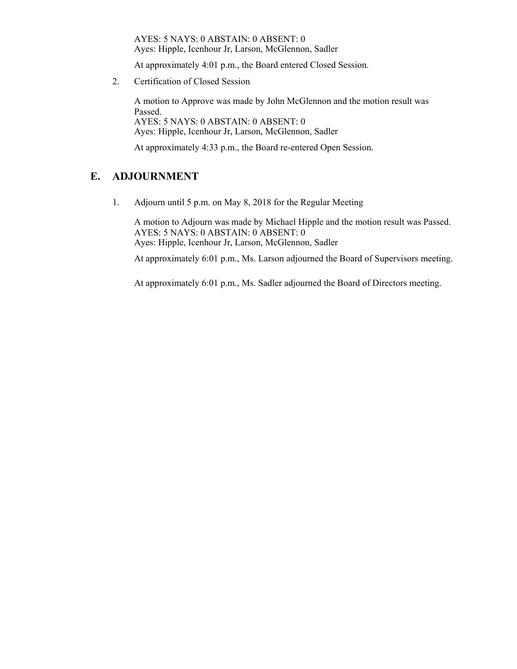AYES: 5 NAYS: 0 ABSTAIN: 0 ABSENT: 0 Ayes: Hipple, Icenhour Jr, Larson, McGlennon, Sadler

At approximately 4:01 p.m., the Board entered Closed Session.

2. Certification of Closed Session

A motion to Approve was made by John McGlennon and the motion result was Passed. AYES: 5 NAYS: 0 ABSTAIN: 0 ABSENT: 0 Ayes: Hipple, Icenhour Jr, Larson, McGlennon, Sadler

At approximately 4:33 p.m., the Board re-entered Open Session.

## **E. ADJOURNMENT**

1. Adjourn until 5 p.m. on May 8, 2018 for the Regular Meeting

A motion to Adjourn was made by Michael Hipple and the motion result was Passed. AYES: 5 NAYS: 0 ABSTAIN: 0 ABSENT: 0 Ayes: Hipple, Icenhour Jr, Larson, McGlennon, Sadler

At approximately 6:01 p.m., Ms. Larson adjourned the Board of Supervisors meeting.

At approximately 6:01 p.m., Ms. Sadler adjourned the Board of Directors meeting.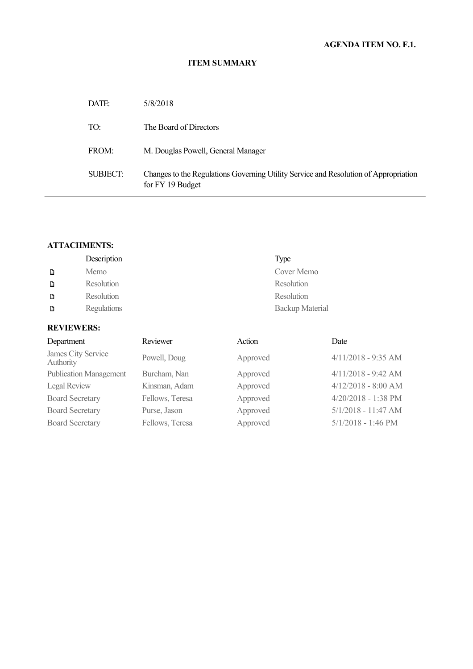### **ITEM SUMMARY**

| DATE:    | 5/8/2018                                                                                                 |
|----------|----------------------------------------------------------------------------------------------------------|
| TO:      | The Board of Directors                                                                                   |
| FROM:    | M. Douglas Powell, General Manager                                                                       |
| SUBJECT: | Changes to the Regulations Governing Utility Service and Resolution of Appropriation<br>for FY 19 Budget |

## **ATTACHMENTS:**

|   | Description | Type            |
|---|-------------|-----------------|
| D | Memo        | Cover Memo      |
| D | Resolution  | Resolution      |
| D | Resolution  | Resolution      |
| D | Regulations | Backup Material |

## **REVIEWERS:**

| Department                      | Reviewer        | Action   | Date                  |
|---------------------------------|-----------------|----------|-----------------------|
| James City Service<br>Authority | Powell, Doug    | Approved | $4/11/2018 - 9:35$ AM |
| <b>Publication Management</b>   | Burcham, Nan    | Approved | $4/11/2018 - 9:42$ AM |
| Legal Review                    | Kinsman, Adam   | Approved | $4/12/2018 - 8:00$ AM |
| <b>Board Secretary</b>          | Fellows, Teresa | Approved | 4/20/2018 - 1:38 PM   |
| <b>Board Secretary</b>          | Purse, Jason    | Approved | $5/1/2018 - 11:47$ AM |
| <b>Board Secretary</b>          | Fellows, Teresa | Approved | $5/1/2018 - 1:46$ PM  |
|                                 |                 |          |                       |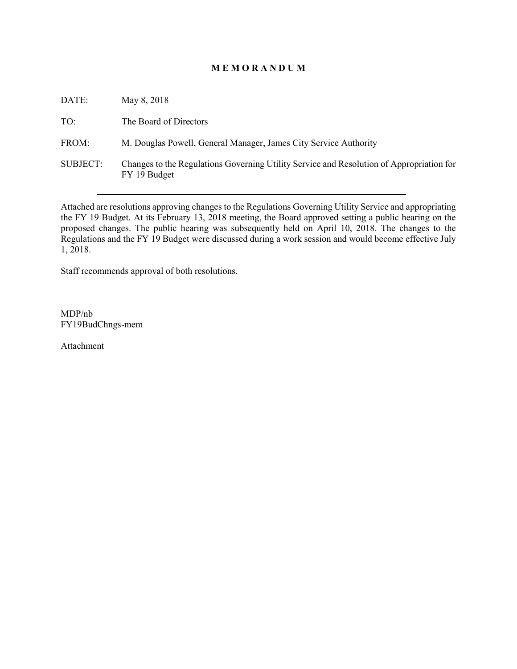## **M E M O R A N D U M**

| DATE:           | May 8, 2018                                                                                              |
|-----------------|----------------------------------------------------------------------------------------------------------|
| TO:             | The Board of Directors                                                                                   |
| FROM:           | M. Douglas Powell, General Manager, James City Service Authority                                         |
| <b>SUBJECT:</b> | Changes to the Regulations Governing Utility Service and Resolution of Appropriation for<br>FY 19 Budget |

Attached are resolutions approving changes to the Regulations Governing Utility Service and appropriating the FY 19 Budget. At its February 13, 2018 meeting, the Board approved setting a public hearing on the proposed changes. The public hearing was subsequently held on April 10, 2018. The changes to the Regulations and the FY 19 Budget were discussed during a work session and would become effective July 1, 2018.

Staff recommends approval of both resolutions.

MDP/nb FY19BudChngs-mem

Attachment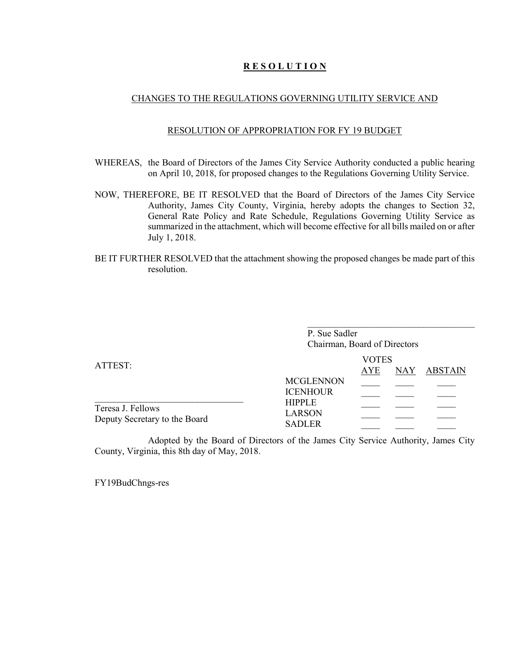### **R E S O L U T I O N**

### CHANGES TO THE REGULATIONS GOVERNING UTILITY SERVICE AND

#### RESOLUTION OF APPROPRIATION FOR FY 19 BUDGET

- WHEREAS, the Board of Directors of the James City Service Authority conducted a public hearing on April 10, 2018, for proposed changes to the Regulations Governing Utility Service.
- NOW, THEREFORE, BE IT RESOLVED that the Board of Directors of the James City Service Authority, James City County, Virginia, hereby adopts the changes to Section 32, General Rate Policy and Rate Schedule, Regulations Governing Utility Service as summarized in the attachment, which will become effective for all bills mailed on or after July 1, 2018.
- BE IT FURTHER RESOLVED that the attachment showing the proposed changes be made part of this resolution.

|                                                    | P. Sue Sadler<br>Chairman, Board of Directors   |                            |            |         |
|----------------------------------------------------|-------------------------------------------------|----------------------------|------------|---------|
| ATTEST:                                            |                                                 | <b>VOTES</b><br><b>AYE</b> | <b>NAY</b> | ABSTAIN |
|                                                    | <b>MCGLENNON</b><br><b>ICENHOUR</b>             |                            |            |         |
| Teresa J. Fellows<br>Deputy Secretary to the Board | <b>HIPPLE</b><br><b>LARSON</b><br><b>SADLER</b> |                            |            |         |

Adopted by the Board of Directors of the James City Service Authority, James City County, Virginia, this 8th day of May, 2018.

FY19BudChngs-res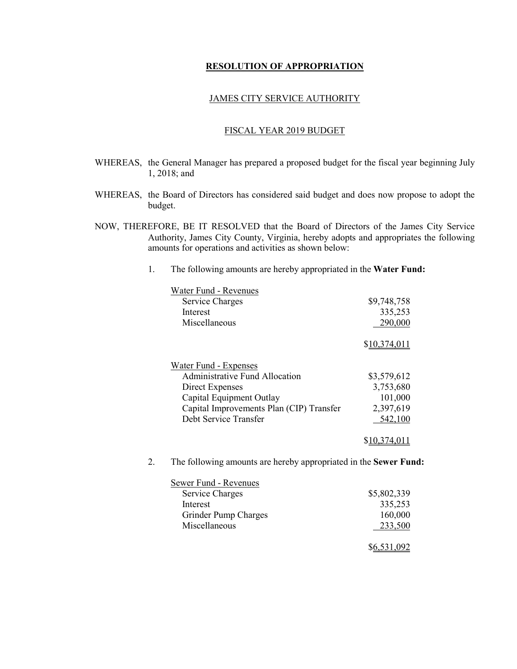#### **RESOLUTION OF APPROPRIATION**

### JAMES CITY SERVICE AUTHORITY

### FISCAL YEAR 2019 BUDGET

- WHEREAS, the General Manager has prepared a proposed budget for the fiscal year beginning July 1, 2018; and
- WHEREAS, the Board of Directors has considered said budget and does now propose to adopt the budget.
- NOW, THEREFORE, BE IT RESOLVED that the Board of Directors of the James City Service Authority, James City County, Virginia, hereby adopts and appropriates the following amounts for operations and activities as shown below:
	- 1. The following amounts are hereby appropriated in the **Water Fund:**

| Water Fund - Revenues                                            |              |
|------------------------------------------------------------------|--------------|
| Service Charges                                                  | \$9,748,758  |
| Interest                                                         | 335,253      |
| Miscellaneous                                                    | 290,000      |
|                                                                  | \$10,374,011 |
| Water Fund - Expenses                                            |              |
| <b>Administrative Fund Allocation</b>                            | \$3,579,612  |
| <b>Direct Expenses</b>                                           | 3,753,680    |
| Capital Equipment Outlay                                         | 101,000      |
| Capital Improvements Plan (CIP) Transfer                         | 2,397,619    |
| Debt Service Transfer                                            | 542,100      |
|                                                                  | \$10,374,011 |
| The following amounts are hereby appropriated in the Sewer Fund: |              |
| Sewer Fund - Revenues                                            |              |
| Service Charges                                                  | \$5,802,339  |

| Service Charges      | \$5,802,339 |
|----------------------|-------------|
| Interest             | 335,253     |
| Grinder Pump Charges | 160,000     |
| Miscellaneous        | 233,500     |
|                      |             |
|                      | \$6,531,092 |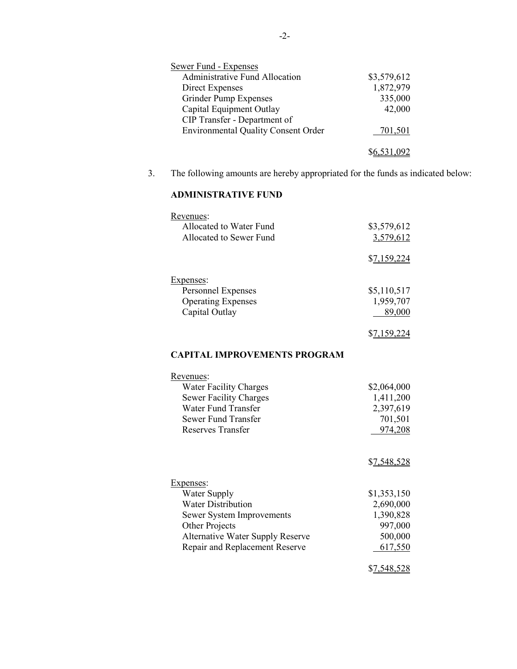| <b>Sewer Fund - Expenses</b>               |             |
|--------------------------------------------|-------------|
| <b>Administrative Fund Allocation</b>      | \$3,579,612 |
| Direct Expenses                            | 1,872,979   |
| Grinder Pump Expenses                      | 335,000     |
| Capital Equipment Outlay                   | 42,000      |
| CIP Transfer - Department of               |             |
| <b>Environmental Quality Consent Order</b> | 701,501     |
|                                            |             |
|                                            |             |

3. The following amounts are hereby appropriated for the funds as indicated below:

# **ADMINISTRATIVE FUND**

| Revenues:<br>Allocated to Water Fund<br>Allocated to Sewer Fund                                                                                                                           | \$3,579,612<br>3,579,612                                               |
|-------------------------------------------------------------------------------------------------------------------------------------------------------------------------------------------|------------------------------------------------------------------------|
| Expenses:                                                                                                                                                                                 | \$7,159,224                                                            |
| Personnel Expenses<br><b>Operating Expenses</b><br>Capital Outlay                                                                                                                         | \$5,110,517<br>1,959,707<br>89,000                                     |
|                                                                                                                                                                                           | \$7,159,224                                                            |
| <b>CAPITAL IMPROVEMENTS PROGRAM</b>                                                                                                                                                       |                                                                        |
| Revenues:<br><b>Water Facility Charges</b><br><b>Sewer Facility Charges</b><br>Water Fund Transfer<br><b>Sewer Fund Transfer</b><br><b>Reserves Transfer</b>                              | \$2,064,000<br>1,411,200<br>2,397,619<br>701,501<br>974,208            |
|                                                                                                                                                                                           | \$7,548,528                                                            |
| Expenses:<br><b>Water Supply</b><br><b>Water Distribution</b><br>Sewer System Improvements<br>Other Projects<br><b>Alternative Water Supply Reserve</b><br>Repair and Replacement Reserve | \$1,353,150<br>2,690,000<br>1,390,828<br>997,000<br>500,000<br>617,550 |
|                                                                                                                                                                                           | \$7,548,528                                                            |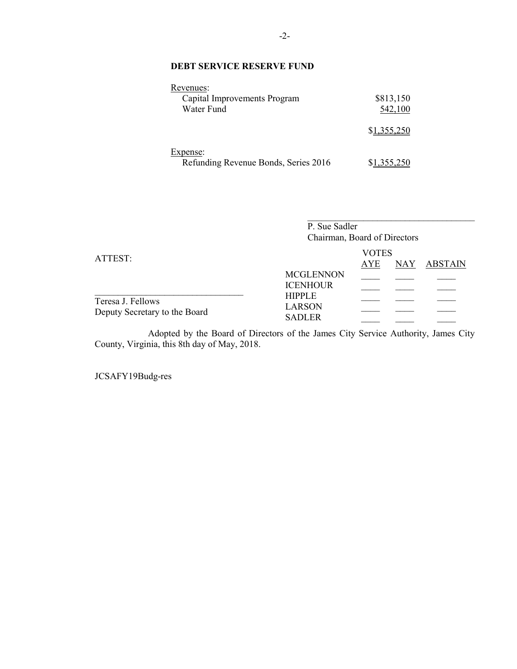## **DEBT SERVICE RESERVE FUND**

| Revenues:<br>Capital Improvements Program<br>Water Fund | \$813,150<br>542,100 |
|---------------------------------------------------------|----------------------|
|                                                         | \$1,355,250          |
| Expense:<br>Refunding Revenue Bonds, Series 2016        |                      |

|                                                    | P. Sue Sadler<br>Chairman, Board of Directors   |                            |            |                |
|----------------------------------------------------|-------------------------------------------------|----------------------------|------------|----------------|
| ATTEST:                                            | <b>MCGLENNON</b><br><b>ICENHOUR</b>             | <b>VOTES</b><br><b>AYE</b> | <b>NAY</b> | <b>ABSTAIN</b> |
| Teresa J. Fellows<br>Deputy Secretary to the Board | <b>HIPPLE</b><br><b>LARSON</b><br><b>SADLER</b> |                            |            |                |

Adopted by the Board of Directors of the James City Service Authority, James City County, Virginia, this 8th day of May, 2018.

JCSAFY19Budg-res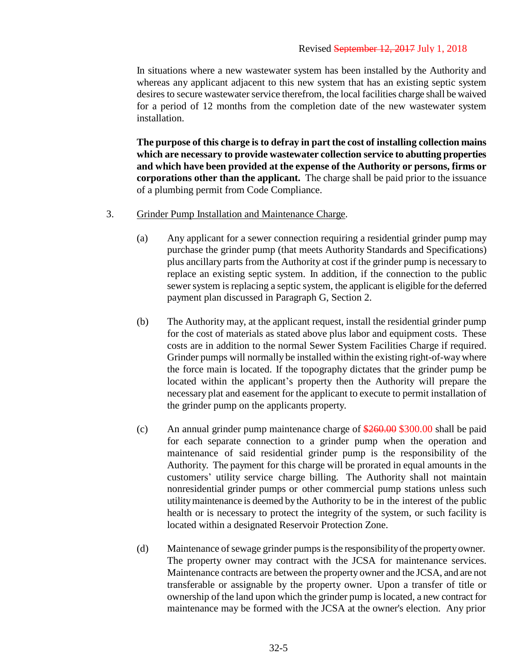In situations where a new wastewater system has been installed by the Authority and whereas any applicant adjacent to this new system that has an existing septic system desires to secure wastewater service therefrom, the local facilities charge shall be waived for a period of 12 months from the completion date of the new wastewater system installation.

**The purpose of this charge is to defray in part the cost of installing collection mains which are necessary to provide wastewater collection service to abutting properties and which have been provided at the expense of the Authority or persons, firms or corporations other than the applicant.** The charge shall be paid prior to the issuance of a plumbing permit from Code Compliance.

- 3. Grinder Pump Installation and Maintenance Charge.
	- (a) Any applicant for a sewer connection requiring a residential grinder pump may purchase the grinder pump (that meets Authority Standards and Specifications) plus ancillary parts from the Authority at cost if the grinder pump is necessary to replace an existing septic system. In addition, if the connection to the public sewer system is replacing a septic system, the applicant is eligible for the deferred payment plan discussed in Paragraph G, Section 2.
	- (b) The Authority may, at the applicant request, install the residential grinder pump for the cost of materials as stated above plus labor and equipment costs. These costs are in addition to the normal Sewer System Facilities Charge if required. Grinder pumps will normally be installed within the existing right-of-way where the force main is located. If the topography dictates that the grinder pump be located within the applicant's property then the Authority will prepare the necessary plat and easement for the applicant to execute to permit installation of the grinder pump on the applicants property.
	- (c) An annual grinder pump maintenance charge of  $\frac{$260.00}{$260.00}$  shall be paid for each separate connection to a grinder pump when the operation and maintenance of said residential grinder pump is the responsibility of the Authority. The payment for this charge will be prorated in equal amounts in the customers' utility service charge billing. The Authority shall not maintain nonresidential grinder pumps or other commercial pump stations unless such utility maintenance is deemed by the Authority to be in the interest of the public health or is necessary to protect the integrity of the system, or such facility is located within a designated Reservoir Protection Zone.
	- (d) Maintenance of sewage grinder pumps is the responsibility of the property owner. The property owner may contract with the JCSA for maintenance services. Maintenance contracts are between the property owner and the JCSA, and are not transferable or assignable by the property owner. Upon a transfer of title or ownership of the land upon which the grinder pump islocated, a new contract for maintenance may be formed with the JCSA at the owner's election. Any prior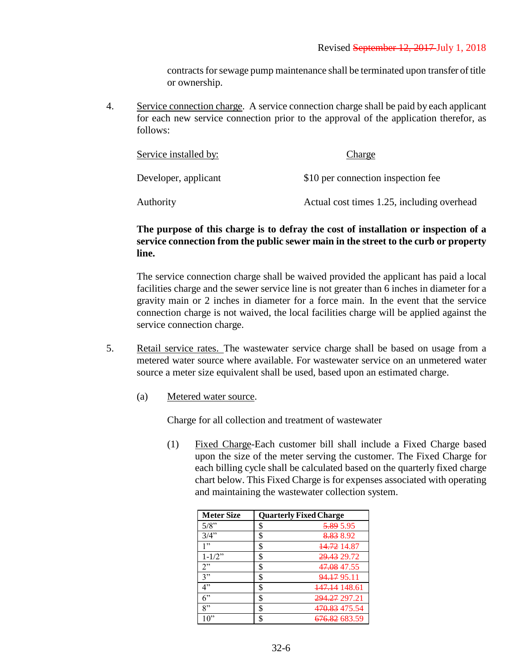contracts for sewage pump maintenance shall be terminated upon transfer of title or ownership.

4. Service connection charge. A service connection charge shall be paid by each applicant for each new service connection prior to the approval of the application therefor, as follows:

| Service installed by: | Charge                                     |
|-----------------------|--------------------------------------------|
| Developer, applicant  | \$10 per connection inspection fee         |
| Authority             | Actual cost times 1.25, including overhead |

## **The purpose of this charge is to defray the cost of installation or inspection of a service connection from the public sewer main in the street to the curb or property line.**

The service connection charge shall be waived provided the applicant has paid a local facilities charge and the sewer service line is not greater than 6 inches in diameter for a gravity main or 2 inches in diameter for a force main. In the event that the service connection charge is not waived, the local facilities charge will be applied against the service connection charge.

- 5. Retail service rates. The wastewater service charge shall be based on usage from a metered water source where available. For wastewater service on an unmetered water source a meter size equivalent shall be used, based upon an estimated charge.
	- (a) Metered water source.

Charge for all collection and treatment of wastewater

(1) Fixed Charge-Each customer bill shall include a Fixed Charge based upon the size of the meter serving the customer. The Fixed Charge for each billing cycle shall be calculated based on the quarterly fixed charge chart below. This Fixed Charge is for expenses associated with operating and maintaining the wastewater collection system.

| <b>Meter Size</b> | <b>Quarterly Fixed Charge</b> |                          |
|-------------------|-------------------------------|--------------------------|
| 5/8"              | \$                            | <del>5.89</del> 5.95     |
| 3/4"              | \$                            | 8.83 8.92                |
| 1"                | \$                            | <del>14.72</del> 14.87   |
| $1 - 1/2$ "       | \$                            | 29.43 29.72              |
| 2"                | \$                            | <del>47.08</del> 47.55   |
| 3"                | \$                            | 94.17 95.11              |
| 4"                | \$                            | <del>147.14</del> 148.61 |
| 6"                | \$                            | 294.27 297.21            |
| 8"                | \$                            | <del>470.83</del> 475.54 |
| 10"               |                               | <del>676.82</del> 683.59 |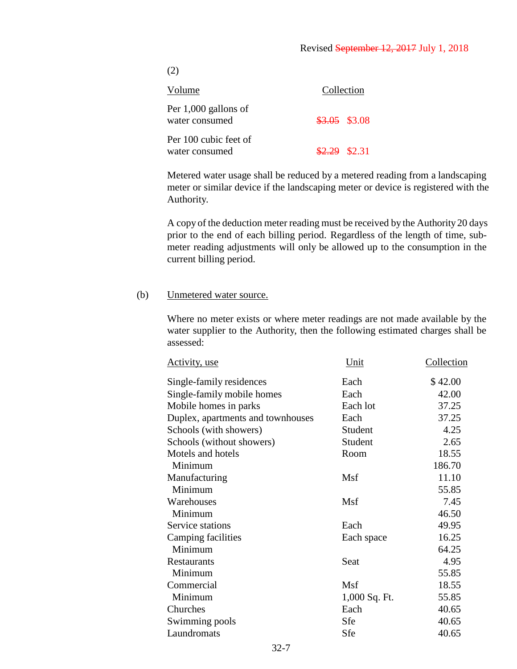(2)

| Volume                                   | Collection     |
|------------------------------------------|----------------|
| Per $1,000$ gallons of<br>water consumed | $$3.05$ \$3.08 |
| Per 100 cubic feet of<br>water consumed  | $$2.29$ \$2.31 |

Metered water usage shall be reduced by a metered reading from a landscaping meter or similar device if the landscaping meter or device is registered with the Authority.

A copy of the deduction meter reading must be received by the Authority 20 days prior to the end of each billing period. Regardless of the length of time, submeter reading adjustments will only be allowed up to the consumption in the current billing period.

### (b) Unmetered water source.

Where no meter exists or where meter readings are not made available by the water supplier to the Authority, then the following estimated charges shall be assessed:

| <u>Activity, use</u>              | Unit          | Collection |
|-----------------------------------|---------------|------------|
| Single-family residences          | Each          | \$42.00    |
| Single-family mobile homes        | Each          | 42.00      |
| Mobile homes in parks             | Each lot      | 37.25      |
| Duplex, apartments and townhouses | Each          | 37.25      |
| Schools (with showers)            | Student       | 4.25       |
| Schools (without showers)         | Student       | 2.65       |
| Motels and hotels                 | Room          | 18.55      |
| Minimum                           |               | 186.70     |
| Manufacturing                     | Msf           | 11.10      |
| Minimum                           |               | 55.85      |
| Warehouses                        | Msf           | 7.45       |
| Minimum                           |               | 46.50      |
| Service stations                  | Each          | 49.95      |
| <b>Camping facilities</b>         | Each space    | 16.25      |
| Minimum                           |               | 64.25      |
| Restaurants                       | Seat          | 4.95       |
| Minimum                           |               | 55.85      |
| Commercial                        | Msf           | 18.55      |
| Minimum                           | 1,000 Sq. Ft. | 55.85      |
| Churches                          | Each          | 40.65      |
| Swimming pools                    | Sfe           | 40.65      |
| Laundromats                       | Sfe           | 40.65      |
|                                   |               |            |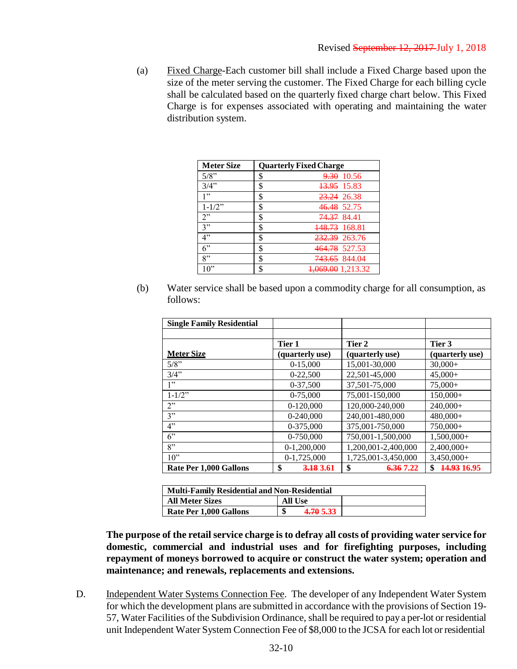(a) Fixed Charge-Each customer bill shall include a Fixed Charge based upon the size of the meter serving the customer. The Fixed Charge for each billing cycle shall be calculated based on the quarterly fixed charge chart below. This Fixed Charge is for expenses associated with operating and maintaining the water distribution system.

| <b>Meter Size</b> | <b>Quarterly Fixed Charge</b>  |
|-------------------|--------------------------------|
| 5/8"              | \$<br><del>9.30</del> 10.56    |
| 3/4"              | \$<br><del>13.95</del> 15.83   |
| 1"                | \$<br><del>23.24</del> 26.38   |
| $1 - 1/2$ "       | \$<br>46.48 52.75              |
| 2"                | \$<br><del>74.37</del> 84.41   |
| 3"                | \$<br><del>148.73</del> 168.81 |
| 4"                | \$<br><del>232.39</del> 263.76 |
| 6"                | \$<br><del>464.78</del> 527.53 |
| 8"                | \$<br><del>743.65</del> 844.04 |
| 10"               | \$<br>069.00 1,213.32          |

(b) Water service shall be based upon a commodity charge for all consumption, as follows:

| <b>Single Family Residential</b> |                 |                     |                              |
|----------------------------------|-----------------|---------------------|------------------------------|
|                                  |                 |                     |                              |
|                                  | Tier 1          | Tier 2              | Tier 3                       |
| <b>Meter Size</b>                | (quarterly use) | (quarterly use)     | (quarterly use)              |
| 5/8"                             | $0-15,000$      | 15,001-30,000       | $30,000+$                    |
| 3/4"                             | 0-22,500        | 22,501-45,000       | $45.000+$                    |
| 1"                               | 0-37,500        | 37,501-75,000       | $75,000+$                    |
| $1 - 1/2$ "                      | 0-75,000        | 75,001-150,000      | $150,000+$                   |
| 2"                               | $0-120,000$     | 120,000-240,000     | $240,000+$                   |
| 3"                               | $0-240,000$     | 240,001-480,000     | $480,000+$                   |
| 4"                               | 0-375,000       | 375,001-750,000     | $750,000+$                   |
| $6$ "                            | 0-750,000       | 750,001-1,500,000   | $1,500,000+$                 |
| 8"                               | $0-1,200,000$   | 1,200,001-2,400,000 | $2,400,000+$                 |
| 10"                              | 0-1,725,000     | 1,725,001-3,450,000 | 3,450,000+                   |
| Rate Per 1,000 Gallons           | \$<br>3.18 3.61 | \$<br>6.36 7.22     | <del>14.93</del> 16.95<br>\$ |

| <b>Multi-Family Residential and Non-Residential</b> |                 |  |  |
|-----------------------------------------------------|-----------------|--|--|
| <b>All Meter Sizes</b>                              | All Use         |  |  |
| <b>Rate Per 1.000 Gallons</b>                       | 4.70 5.33<br>٨D |  |  |

**The purpose of the retail service charge is to defray all costs of providing water service for domestic, commercial and industrial uses and for firefighting purposes, including repayment of moneys borrowed to acquire or construct the water system; operation and maintenance; and renewals, replacements and extensions.**

D. Independent Water Systems Connection Fee. The developer of any Independent Water System for which the development plans are submitted in accordance with the provisions of Section 19- 57, Water Facilities of the Subdivision Ordinance, shall be required to pay a per-lot or residential unit Independent Water System Connection Fee of \$8,000 to the JCSA for each lot or residential